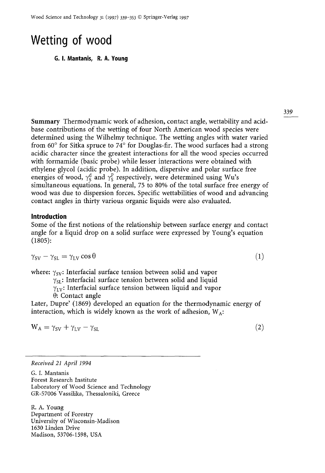# **Wetting of wood**

**G. I. Mantanis, R. A. Young** 

Summary Thermodynamic work of adhesion, contact angle, wettability and acidbase contributions of the wetting of four North American wood species were determined using the Wilhelmy technique. The wetting angles with water varied from  $60^{\circ}$  for Sitka spruce to  $74^{\circ}$  for Douglas-fir. The wood surfaces had a strong acidic character since the greatest interactions for all the wood species occurred with formamide (basic probe) while lesser interactions were obtained with ethylene glycol (acidic probe). In addition, dispersive and polar surface free energies of wood,  $\gamma_{\rm S}^{\rm d}$  and  $\gamma_{\rm S}^{\rm p}$  respectively, were determined using Wu's simultaneous equations. In general, 75 to 80% of the total surface free energy of wood was due to dispersion forces. Specific wettabilities of wood and advancing contact angles in thirty various organic liquids were also evaluated.

#### **Introduction**

Some of the first notions of the relationship between surface energy and contact angle for a liquid drop on a solid surface were expressed by Young's equation (1805):

$$
\gamma_{SV} - \gamma_{SL} = \gamma_{LV} \cos \theta \tag{1}
$$

where:  $\gamma_{SV}$ : Interfacial surface tension between solid and vapor

 $\gamma_{SL}$ : Interfacial surface tension between solid and liquid

 $\gamma_{\rm LV}$ : Interfacial surface tension between liquid and vapor  $\theta$ : Contact angle

Later, Dupre' (1869) developed an equation for the thermodynamic energy of interaction, which is widely known as the work of adhesion,  $W_A$ :

$$
W_A = \gamma_{SV} + \gamma_{LV} - \gamma_{SL} \tag{2}
$$

*Received 21 April 1994* 

G. I. Mantanis Forest Research Institute Laboratory of Wood Science and Technology GR-57006 Vassilika, Thessaloniki, Greece

R. A. Young Department of Forestry University of Wisconsin-Madison 1630 Linden Drive Madison, 53706-1598, USA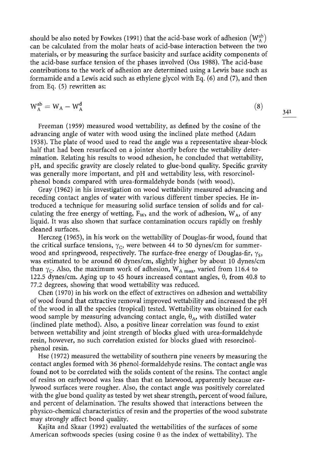should be also noted by Fowkes (1991) that the acid-base work of adhesion  $(W_A^{\text{ab}})$ can be calculated from the molar heats of acid-base interaction between the two materials, or by measuring the surface basicity and surface acidity components of the acid-base surface tension of the phases involved (Oss 1988). The acid-base contributions to the work of adhesion are determined using a Lewis base such as formamide and a Lewis acid such as ethylene glycol with Eq. (6) and (7), and then from Eq. (5) rewritten as:

$$
W_A^{ab} = W_A - W_A^d \tag{8}
$$

Freeman (1959) measured wood wettability, as defined by the cosine of the advancing angle of water with wood using the inclined plate method (Adam 1938). The plate of wood used to read the angle was a representative shear-block half that had been resurfaced on a jointer shortly before the wettability determination. Relating his results to wood adhesion, he concluded that wettability, pH, and specific gravity are closely related to glue-bond quality. Specific gravity was generally more important, and pH and wettability less, with resorcinolphenol bonds compared with urea-formaldehyde bonds (with wood).

Gray (1962) in his investigation on wood wettability measured advancing and receding contact angles of water with various different timber species. He introduced a technique for measuring solid surface tension of solids and for calculating the free energy of wetting,  $F_W$ , and the work of adhesion,  $W_A$ , of any liquid. It was also shown that surface contamination occurs rapidly on freshly cleaned surfaces.

Herczeg (1965), in his work on the wettability of Douglas-fir wood, found that the critical surface tensions,  $\gamma_c$ , were between 44 to 50 dynes/cm for summerwood and springwood, respectively. The surface-free energy of Douglas-fir,  $\gamma_s$ , was estimated to be around 60 dynes/cm, slightly higher by about 10 dynes/cm than  $\gamma_c$ . Also, the maximum work of adhesion, W<sub>A max</sub>, varied from 116.4 to 122.5 dynes/cm. Aging up to 45 hours increased contant angles,  $\theta$ , from 40.8 to 77.2 degrees, showing that wood wettability was reduced.

Chen (1970) in his work on the effect of extractives on adhesion and wettability of wood found that extractive removal improved wettability and increased the pH of the wood in all the species (tropical) tested. Wettability was obtained for each wood sample by measuring advancing contact angle,  $\theta_A$ , with distilled water (inclined plate method). Also, a positive linear correlation was found to exist between wettability and joint strength of blocks glued with urea-formaldehyde resin, however, no such correlation existed for blocks glued with resorcinolphenol resin.

Hse (1972) measured the wettability of southern pine veneers by measuring the contact angles formed with 36 phenol-formaldehyde resins. The contact angle was found not to be correlated with the solids content of the resins. The contact angle of resins on earlywood was less than that on latewood, apparently because earlywood surfaces were rougher. Also, the contact angle was positively correlated with the glue bond quality as tested by wet shear strength, percent of wood failure, and percent of delamination. The results showed that interactions between the physico-chemical characteristics of resin and the properties of the wood substrate may strongly affect bond quality.

Kajita and Skaar (1992) evaluated the wettabilities of the surfaces of some American softwoods species (using cosine  $\theta$  as the index of wettability). The

341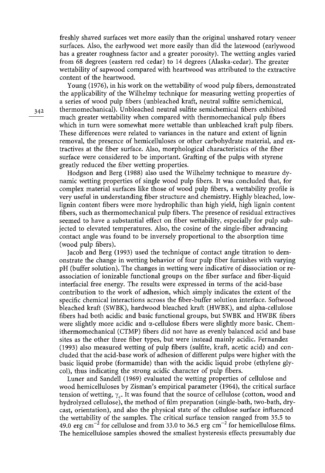freshly shaved surfaces wet more easily than the original unshaved rotary veneer surfaces. Also, the earlywood wet more easily than did the latewood (earlywood has a greater roughness factor and a greater porosity). The wetting angles varied from 68 degrees (eastern red cedar) to 14 degrees (Alaska-cedar). The greater wettability of sapwood compared with heartwood was attributed to the extractive content of the heartwood.

Young (1976), in his work on the wettability of wood pulp fibers, demonstrated the applicability of the Wilhelmy technique for measuring wetting properties of a series of wood pulp fibers (unbleached kraft, neutral sulfite semichemical, thermomechanical). Unbleached neutral sulfite semichemical fibers exhibited much greater wettability when compared with thermomechanical pulp fibers which in turn were somewhat more wettable than unbleached kraft pulp fibers. These differences were related to variances in the nature and extent of lignin removal, the presence of hemicelluloses or other carbohydrate material, and extractives at the fiber surface. Also, morphological characteristics of the fiber surface were considered to be important. Grafting of the pulps with styrene greatly reduced the fiber wetting properties.

Hodgson and Berg (1988) also used the Wilhelmy technique to measure dynamic wetting properties of single wood pulp fibers. It was concluded that, for complex material surfaces like those of wood pulp fibers, a wettability profile is very useful in understanding fiber structure and chemistry. Highly bleached, lowlignin content fibers were more hydrophilic than high yield, high lignin content fibers, such as thermomechanical pulp fibers. The presence of residual extractives seemed to have a substantial effect on fiber wettability, especially for pulp subjected to elevated temperatures. Also, the cosine of the single-fiber advancing contact angle was found to be inversely proportional to the absorption time (wood pulp fibers).

Jacob and Berg (1993) used the technique of contact angle titration to demonstrate the change in wetting behavior of four pulp fiber furnishes with varying pH (buffer solution). The changes in wetting were indicative of dissociation or reassociation of ionizable functional groups on the fiber surface and fiber-liquid interfacial free energy. The results were expressed in terms of the acid-base contribution to the work of adhesion, which simply indicates the extent of the specific chemical interactions across the fiber-buffer solution interface. Softwood bleached kraft (SWBK), hardwood bleached kraft (HWBK), and alpha-cellulose fibers had both acidic and basic functional groups, but SWBK and HWBK fibers were slightly more acidic and  $\alpha$ -cellulose fibers were slightly more basic. Chemithermomechanical (CTMP) fibers did not have as evenly balanced acid and base sites as the other three fiber types, but were instead mainly acidic. Fernandez (1993) also measured wetting of pulp fibers (sulfite, kraft, acetic acid) and concluded that the acid-base work of adhesion of different pulps were higher with the basic liquid probe (formamide) than with the acidic liquid probe (ethylene glycol), thus indicating the strong acidic character of pulp fibers.

Luner and Sandell (1969) evaluated the wetting properties of cellulose and wood hemicelluloses by Zisman's empirical parameter (1964), the critical surface tension of wetting,  $\gamma_c$ . It was found that the source of cellulose (cotton, wood and hydrolyzed cellulose), the method of film preparation (single-bath, two-bath, drycast, orientation), and also the physical state of the cellulose surface influenced the wettability of the samples. The critical surface tension ranged from 35.5 to 49.0 erg cm<sup>-2</sup> for cellulose and from 33.0 to 36.5 erg cm<sup>-2</sup> for hemicellulose films. The hemicellulose samples showed the smallest hysteresis effects presumably due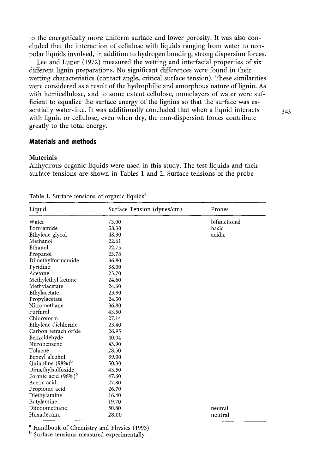to the energetically more uniform surface and lower porosity. It was also concluded that the interaction of cellulose with liquids ranging from water to nonpolar liquids involved, in addition to hydrogen bonding, strong dispersion forces.

Lee and Luner (1972) measured the wetting and interfacial properties of six different lignin preparations. No significant differences were found in their wetting characteristics (contact angle, critical surface tension). These similarities were considered as a result of the hydrophilic and amorphous nature of lignin. As with hemicellulose, and to some extent cellulose, monolayers of water were sufficient to equalize the surface energy of the lignins so that the surface was essentially water-like. It was additionally concluded that when a liquid interacts with lignin or cellulose, even when dry, the non-dispersion forces contribute greatly to the total energy.

343

# **Materials and methods**

#### **Materials**

Anhydrous organic liquids were used in this study. The test liquids and their surface tensions are shown in Tables 1 and 2. Surface tensions of the probe

| Liquid                         | Surface Tension (dynes/cm) | Probes       |
|--------------------------------|----------------------------|--------------|
| Water                          | 73.00                      | bifunctional |
| Formamide                      | 58.30                      | basic        |
| Ethylene glycol                | 48.30                      | acidic       |
| Methanol                       | 22.61                      |              |
| Ethanol                        | 22.75                      |              |
| Propanol                       | 23.78                      |              |
| Dimethylformamide              | 36.80                      |              |
| Pyridine                       | 38.00                      |              |
| Acetone                        | 23.70                      |              |
| Methylethyl ketone             | 24.60                      |              |
| Methylacetate                  | 24.60                      |              |
| Ethylacetate                   | 23.90                      |              |
| Propylacetate                  | 24.30                      |              |
| Nitromethane                   | 36.80                      |              |
| Furfural                       | 43.50                      |              |
| Chloroform                     | 27.14                      |              |
| Ethylene dichloride            | 23.40                      |              |
| Carbon tetrachloride           | 26.95                      |              |
| Benzaldehyde                   | 40.04                      |              |
| Nitrobenzene                   | 43.90                      |              |
| Toluene                        | 28.50                      |              |
| Benzyl alcohol                 | 39.00                      |              |
| Quinoline (98%) <sup>b</sup>   | 50.30                      |              |
| Dimethylsulfoxide              | 43.50                      |              |
| Formic acid (96%) <sup>b</sup> | 47.60                      |              |
| Acetic acid                    | 27.80                      |              |
| Propionic acid                 | 26.70                      |              |
| Diethylamine                   | 16.40                      |              |
| Butylamine                     | 19.70                      |              |
| Diiodomethane                  | 50.80                      | neutral      |
| Hexadecane                     | 28.00                      | neutral      |

Table 1. Surface tensions of organic liquids<sup>a</sup>

<sup>a</sup> Handbook of Chemistry and Physics (1993)

<sup>b</sup> Surface tensions measured experimentally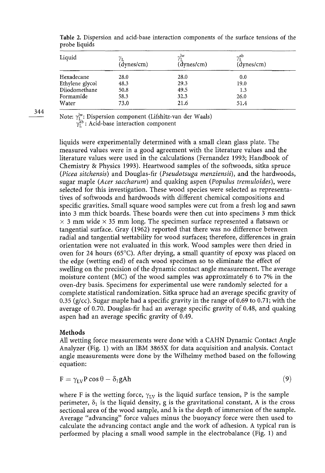| Liquid          | (dynes/cm) | $\gamma_{\rm L}^{\rm lw}$<br>(dynes/cm) | ∿ab<br>(dynes/cm) |
|-----------------|------------|-----------------------------------------|-------------------|
| Hexadecane      | 28.0       | 28.0                                    | 0.0               |
| Ethylene glycol | 48.3       | 29.3                                    | 19.0              |
| Diiodomethane   | 50.8       | 49.5                                    | 1.3               |
| Formamide       | 58.3       | 32.3                                    | 26.0              |
| Water           | 73.0       | 21.6                                    | 51.4              |

Table 2. Dispersion and acid-base interaction components of the surface tensions of the probe liquids

344

Note:  $\gamma_L^{lw}$ : Dispersion component (Lifshitz-van der Waals)

 $\gamma_{\scriptscriptstyle{\text{L}}}^{\scriptscriptstyle{\text{lab}}}$ : Acid-base interaction component

liquids were experimentally determined with a small clean glass plate. The measured values were in a good agreement with the literature values and the literature values were used in the calculations (Fernandez 1993; Handbook of Chemistry & Physics 1993). Heartwood samples of the softwoods, sitka spruce *(Picea sitchensis)* and Douglas-fir *(Pseudotsuga menziensii),* and the hardwoods, sugar maple *(Acer saccharum)* and quaking aspen *(Populus tremuloides),* were selected for this investigation. These wood species were selected as representatives of softwoods and hardwoods with different chemical compositions and specific gravities. Small square wood samples were cut from a fresh log and sawn into 3 mm thick boards. These boards were then cut into specimens 3 mm thick  $\times$  3 mm wide  $\times$  35 mm long. The specimen surface represented a flatsawn or tangential surface. Gray (1962) reported that there was no difference between radial and tangential wettability for wood surfaces; therefore, differences in grain orientation were not evaluated in this work. Wood samples were then dried in oven for 24 hours (65°C). After drying, a small quantity of epoxy was placed on the edge (wetting end) of each wood specimen so to eliminate the effect of swelling on the precision of the dynamic contact angle measurement. The average moisture content (MC) of the wood samples was approximately 6 to 7% in the oven-dry basis. Specimens for experimental use were randomly selected for a complete statistical randomization. Sitka spruce had an average specific gravity of 0.35 (g/cc). Sugar maple had a specific gravity in the range of 0.69 to 0.71; with the average of 0.70. Douglas-fir had an average specific gravity of 0.48, and quaking aspen had an average specific gravity of 0.49.

## **Methods**

All wetting force measurements were done with a CAHN Dynamic Contact Angle Analyzer (Fig. 1) with an IBM 3865X for data acquisition and analysis. Contact angle measurements were done by the Wilhelmy method based on the following equation:

 $F = \gamma_{LV} P \cos \theta - \delta_1 g A h$  (9)

where F is the wetting force,  $\gamma_{LV}$  is the liquid surface tension, P is the sample perimeter,  $\delta_1$  is the liquid density, g is the gravitational constant, A is the cross sectional area of the wood sample, and h is the depth of immersion of the sample. Average "advancing" force values minus the buoyancy force were then used to calculate the advancing contact angle and the work of adhesion. A typical run is performed by placing a small wood sample in the electrobalance (Fig. 1) and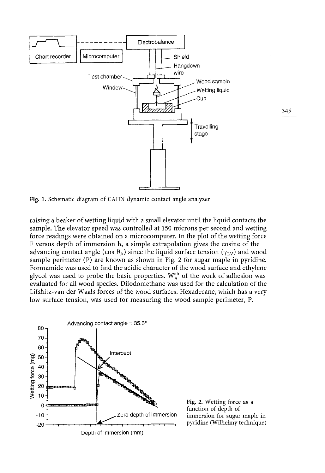

Fig. 1. Schematic diagram of CAHN dynamic contact angle analyzer

raising a beaker of wetting liquid with a small elevator until the liquid contacts the sample. The elevator speed was controlled at 150 microns per second and wetting force readings were obtained on a microcomputer. In the plot of the wetting force F versus depth of immersion h, a simple extrapolation gives the cosine of the advancing contact angle (cos  $\theta_A$ ) since the liquid surface tension ( $\gamma_{\rm LV}$ ) and wood sample perimeter (P) are known as shown in Fig. 2 for sugar maple in pyridine. Formamide was used to find the acidic character of the wood surface and ethylene glycol was used to probe the basic properties.  $W_A^{ab}$  of the work of adhesion was evaluated for all wood species. Diiodomethane was used for the calculation of the Lifshitz-van der Waals forces of the wood surfaces. Hexadecane, which has a very low surface tension, was used for measuring the wood sample perimeter, P.



Fig. 2. Wetting force as a function of depth of immersion for sugar maple in pyridine (Wilhelmy technique)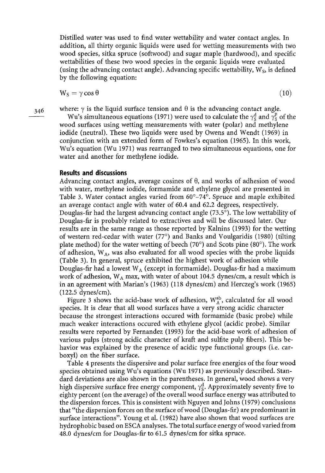Distilled water was used to find water wettability and water contact angles. In addition, all thirty organic liquids were used for wetting measurements with two wood species, sitka spruce (softwood) and sugar maple (hardwood), and specific wettabilities of these two wood species in the organic liquids were evaluated (using the advancing contact angle). Advancing specific wettability,  $W_{\rm S}$ , is defined by the following equation:

 $W_S = \gamma \cos \theta$  (10)

 $346$  where:  $\gamma$  is the liquid surface tension and  $\theta$  is the advancing contact angle. Wu's simultaneous equations (1971) were used to calculate the  $\gamma_s^d$  and  $\gamma_s^p$  of the wood surfaces using wetting measurements with water (polar) and methylene iodide (neutral). These two liquids were used by Owens and Wendt (1969) in conjunction with an extended form of Fowkes's equation (1965). In this work, Wu's equation (Wu 1971) was rearranged to two simultaneous equations, one for water and another for methylene iodide.

### **Results and discussions**

Advancing contact angles, average cosines of  $\theta$ , and works of adhesion of wood with water, methylene iodide, formamide and ethylene glycol are presented in Table 3. Water contact angles varied from  $60^{\circ} - 74^{\circ}$ . Spruce and maple exhibited an average contact angle with water of 60.4 and 62.2 degrees, respectively. Douglas-fir had the largest advancing contact angle (73.5°). The low wettability of Douglas-fir is probably related to extractives and will be discussed later. Our results are in the same range as those reported by Kalnins (1993) for the wetting of western red-cedar with water (77 °) and Banks and Voulgaridis (1980) (tilting plate method) for the water wetting of beech (70 $^{\circ}$ ) and Scots pine (80 $^{\circ}$ ). The work of adhesion,  $W_A$ , was also evaluated for all wood species with the probe liquids (Table 3). In general, spruce exhibited the highest work of adhesion while Douglas-fir had a lowest  $W_A$  (except in formamide). Douglas-fir had a maximum work of adhesion,  $W_A$  max, with water of about 104.5 dynes/cm, a result which is in an agreement with Marian's (1963) (118 dynes/cm) and Herczeg's work (1965) (122.5 dynes/cm).

Figure 3 shows the acid-base work of adhesion,  $W_A^{ab}$ , calculated for all wood species. It is clear that all wood surfaces have a very strong acidic character because the strongest interactions occured with formamide (basic probe) while much weaker interactions occured with ethylene glycol (acidic probe). Similar results were reported by Fernandez (1993) for the acid-base work of adhesion of various pulps (strong acidic character of kraft and sulfite pulp fibers). This behavior was explained by the presence of acidic type functional groups (i.e. carboxyl) on the fiber surface.

Table 4 presents the dispersive and polar surface free energies of the four wood species obtained using Wu's equations (Wu 1971) as previously described. Standard deviations are also shown in the parentheses. In general, wood shows a very high dispersive surface free energy component,  $\gamma_s^d$ . Approximately seventy five to eighty percent (on the average) of the overall wood surface energy was attributed to the dispersion forces. This is consistent with Nguyen and }ohns (1979) conclusions that "the dispersion forces on the surface of wood (Douglas-fir) are predominant in surface interactions". Young et al. (1982) have also shown that wood surfaces are hydrophobic based on ESCA analyses. The total surface energy of wood varied from 48.0 dynes/cm for Douglas-fir to 61.5 dynes/cm for sitka spruce.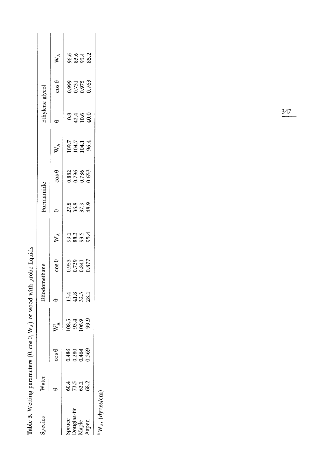| species              | Water                       |                         |                      | <b>Jiiodomethane</b>    |                                  |                           | <sup>c</sup> ormamide |                                  |                                   | Ethylene glycol |                                  |                       |
|----------------------|-----------------------------|-------------------------|----------------------|-------------------------|----------------------------------|---------------------------|-----------------------|----------------------------------|-----------------------------------|-----------------|----------------------------------|-----------------------|
|                      |                             | $\cos \theta$           | $\sum_{\lambda}^a$   |                         | $\cos \theta$                    | $\mathbb{X}_{\mathbb{A}}$ |                       | $cos \theta$                     | $\breve{\mathbf{v}}_{\mathbf{A}}$ |                 | $\cos\theta$                     | $\aleph_{\mathbb{A}}$ |
| ipruce               |                             |                         |                      |                         |                                  |                           |                       |                                  |                                   |                 |                                  |                       |
| ,ouglas-fir<br>Maple |                             |                         |                      |                         |                                  |                           |                       |                                  |                                   |                 |                                  |                       |
|                      | 4 5 3 3<br>6 7 3 3<br>6 8 3 | 0.486<br>0.280<br>0.369 | 1934<br>1969<br>1989 | 13.4<br>14.3<br>14.3.23 | 0.953<br>0.739<br>0.841<br>0.877 | 23354<br>28355            | 25<br>2829<br>283     | 0.882<br>0.796<br>0.786<br>0.653 | 109.7<br>104.7<br>96.4            | 8460<br>0409    | 0.999<br>0.731<br>0.975<br>0.763 | 86.6<br>885.7<br>88   |
| Aspen                |                             |                         |                      |                         |                                  |                           |                       |                                  |                                   |                 |                                  |                       |

 $W_{A2}$  (dynes/cm)

 $\frac{347}{2}$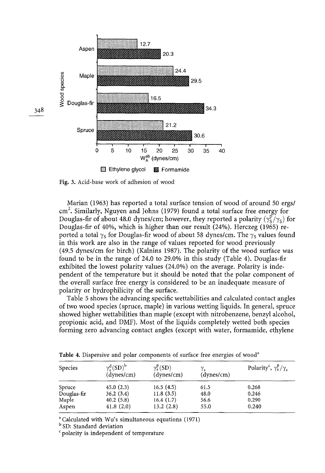

Fig. 3. Acid-base work of adhesion of wood

Marian (1963) has reported a total surface tension of wood of around 50 ergs/ cm<sup>2</sup>. Similarly, Nguyen and Johns (1979) found a total surface free energy for Douglas-fir of about 48.0 dynes/cm; however, they reported a polarity ( $\gamma_S^P/\gamma_S$ ) for Douglas-fir of 40%, which is higher than our result (24%). Herczeg (1965) reported a total  $\gamma_s$  for Douglas-fir wood of about 58 dynes/cm. The  $\gamma_s$  values found in this work are also in the range of values reported for wood previously (49.5 dynes/cm for birch) (Kalnins 1987). The polarity of the wood surface was found to be in the range of 24.0 to 29.0% in this study (Table 4). Douglas-fir exhibited the lowest polarity values (24.0%) on the average. Polarity is independent of the temperature but it should be noted that the polar component of the overall surface free energy is considered to be an inadequate measure of polarity or hydrophilicity of the surface.

Table 5 shows the advancing specific wettabilities and calculated contact angles of two wood species (spruce, maple) in various wetting liquids. In general, spruce showed higher wettabilities than maple (except with nitrobenzene, benzyl alcohol, propionic acid, and DMF). Most of the liquids completely wetted both species forming zero advancing contact angles (except with water, formamide, ethylene

| Species     | $\gamma_{s}^{d}(\text{SD})^{\text{b}}$<br>(dynes/cm) | $\gamma_s^{\rm p}$ (SD)<br>(dynes/cm) | γs<br>(dynes/cm) | Polarity <sup>c</sup> , $\gamma_s^p/\gamma_s$ |
|-------------|------------------------------------------------------|---------------------------------------|------------------|-----------------------------------------------|
| Spruce      | 45.0(2.3)                                            | 16.5(4.5)                             | 61.5             | 0.268                                         |
| Douglas-fir | 36.2(3.4)                                            | 11.8(3.5)                             | 48.0             | 0.246                                         |
| Maple       | 40.2(5.8)                                            | 16.4(1.7)                             | 56.6             | 0.290                                         |
| Aspen       | 41.8(2.0)                                            | 13.2(2.8)                             | 55.0             | 0.240                                         |

Table 4. Dispersive and polar components of surface free energies of wood<sup>a</sup>

<sup>a</sup> Calculated with Wu's simultaneous equations (1971)

<sup>b</sup> SD: Standard deviation

c polarity is independent of temperature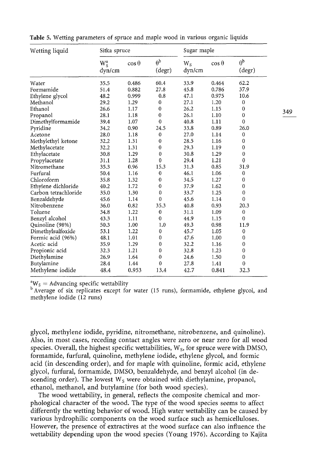| Wetting liquid       | Sitka spruce          |               |                      | Sugar maple     |               |                                 |  |
|----------------------|-----------------------|---------------|----------------------|-----------------|---------------|---------------------------------|--|
|                      | $W_{S}^{a}$<br>dyn/cm | $\cos \theta$ | $\theta^b$<br>(degr) | $W_S$<br>dyn/cm | $\cos \theta$ | $\theta$ <sup>b</sup><br>(degr) |  |
| Water                | 35.5                  | 0.486         | 60.4                 | 33.9            | 0.464         | 62.2                            |  |
| Formamide            | 51.4                  | 0.882         | 27.8                 | 45.8            | 0.786         | 37.9                            |  |
| Ethylene glycol      | 48.2                  | 0.999         | 0.8                  | 47.1            | 0.975         | 10.6                            |  |
| Methanol             | 29.2                  | 1.29          | 0                    | 27.1            | 1.20          | $\bf{0}$                        |  |
| Ethanol              | 26.6                  | 1.17          | 0                    | 26.2            | 1.15          | $\bf{0}$                        |  |
| Propanol             | 28.1                  | 1.18          | $\mathbf 0$          | 26.1            | 1.10          | $\bf{0}$                        |  |
| Dimethylformamide    | 39.4                  | 1.07          | $\bf{0}$             | 40.8            | 1.11          | $\bf{0}$                        |  |
| Pyridine             | 34.2                  | 0.90          | 24.5                 | 33.8            | 0.89          | 26.0                            |  |
| Acetone              | 28.0                  | 1.18          | 0                    | 27.0            | 1.14          | $\bf{0}$                        |  |
| Methylethyl ketone   | 32.2                  | 1.31          | 0                    | 28.5            | 1.16          | 0                               |  |
| Methylacetate        | 32.2                  | 1.31          | 0                    | 29.3            | 1.19          | $\bf{0}$                        |  |
| Ethylacetate         | 30.8                  | 1.29          | $\bf{0}$             | 30.8            | 1.29          | $\boldsymbol{0}$                |  |
| Propylacetate        | 31.1                  | 1.28          | $\bf{0}$             | 29.4            | 1.21          | $\bf{0}$                        |  |
| Nitromethane         | 35.3                  | 0.96          | 15.3                 | 31.3            | 0.85          | 31.9                            |  |
| Furfural             | 50.4                  | 1.16          | 0                    | 46.1            | 1.06          | $\bf{0}$                        |  |
| Chloroform           | 35.8                  | 1.32          | 0                    | 34.5            | 1.27          | $\bf{0}$                        |  |
| Ethylene dichloride  | 40.2                  | 1.72          | 0                    | 37.9            | 1.62          | $\bf{0}$                        |  |
| Carbon tetrachloride | 35.0                  | 1.30          | 0                    | 33.7            | 1.25          | 0                               |  |
| Benzaldehyde         | 45.6                  | 1.14          | $\mathbf{0}$         | 45.6            | 1.14          | $\mathbf 0$                     |  |
| Nitrobenzene         | 36.0                  | 0.82          | 35.3                 | 40.8            | 0.93          | 20.3                            |  |
| Toluene              | 34.8                  | 1.22          | 0                    | 31.1            | 1.09          | $\bf{0}$                        |  |
| Benzyl alcohol       | 43.3                  | 1.11          | 0                    | 44.9            | 1.15          | $\mathbf{0}$                    |  |
| Quinoline (98%)      | 50.3                  | 1.00          | 1.0                  | 49.3            | 0.98          | 11.9                            |  |
| Dimethylsulfoxide    | 53.1                  | 1.22          | $\bf{0}$             | 45.7            | 1.05          | 0                               |  |
| Formic acid (96%)    | 48.1                  | 1.01          | 0                    | 47.6            | 1.00          | $\bf{0}$                        |  |
| Acetic acid          | 35.9                  | 1.29          | $\mathbf 0$          | 32.2            | 1.16          | $\mathbf 0$                     |  |
| Propionic acid       | 32,3                  | 1.21          | $\bf{0}$             | 32.8            | 1.23          | 0                               |  |
| Diethylamine         | 26.9                  | 1.64          | $\bf{0}$             | 24.6            | 1.50          | $\mathbf 0$                     |  |
| Butylamine           | 28.4                  | 1.44          | $\bf{0}$             | 27.8            | 1.41          | $\bf{0}$                        |  |
| Methylene iodide     | 48.4                  | 0.953         | 13.4                 | 42.7            | 0.841         | 32.3                            |  |

349

**Table 5. Wetting parameters of spruce and maple wood in various organic liquids** 

 $W<sub>S</sub>$  = Advancing specific wettability

<sup>b</sup> Average of six replicates except for water (15 runs), formamide, ethylene glycol, and methylene iodide (12 runs)

glycol, methylene iodide, pyridine, nitromethane, nitrobenzene, and quinoline). Also, in most cases, receding contact angles were zero or near zero for all wood species. Overall, the highest specific wettabilities,  $W_{\rm S}$ , for spruce were with DMSO, formamide, furfural, quinoline, methylene iodide, ethylene glycol, and formic acid (in descending order), and for maple with quinoline, formic acid, ethylene glycol, furfural, formamide, DMSO, benzaldehyde, and benzyl alcohol (in descending order). The lowest  $W<sub>S</sub>$  were obtained with diethylamine, propanol, ethanol, methanol, and butylamine (for both wood species).

The wood wettability, in general, reflects the composite chemical and morphological character of the wood. The type of the wood species seems to affect differently the wetting behavior of wood. High water wettability can be caused by various hydrophilic components on the wood surface such as hemicelluloses. However, the presence of extractives at the wood surface can also influence the wettability depending upon the wood species (Young 1976). According to Kajita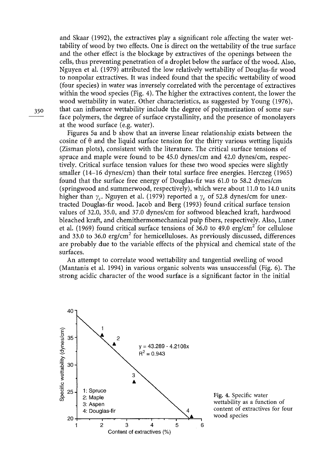and Skaar (1992), the extractives play a significant role affecting the water wettability of wood by two effects. One is direct on the wettability of the true surface and the other effect is the blockage by extractives of the openings between the cells, thus preventing penetration of a droplet below the surface of the wood. Also, Nguyen et al. (1979) attributed the low relatively wettability of Douglas-fir wood to nonpolar extractives. It was indeed found that the specific wettability of wood (four species) in water was inversely correlated with the percentage of extractives within the wood species (Fig. 4). The higher the extractives content, the lower the wood wettability in water. Other characteristics, as suggested by Young (1976), that can influence wettability include the degree of polymerization of some surface polymers, the degree of surface crystallinity, and the presence of monolayers at the wood surface (e.g. water).

Figures 5a and b show that an inverse linear relationship exists between the cosine of  $\theta$  and the liquid surface tension for the thirty various wetting liquids (Zisman plots), consistent with the literature. The critical surface tensions of spruce and maple were found to be 45.0 dynes/cm and 42.0 dynes/cm, respectively. Critical surface tension values for these two wood species were slightly smaller (14-16 dynes/cm) than their total surface free energies. Herczeg (1965) found that the surface free energy of Douglas-fir was 61.0 to 58.2 dynes/cm (springwood and summerwood, respectively), which were about 11.0 to 14.0 units higher than  $\gamma_c$ . Nguyen et al. (1979) reported a  $\gamma_c$  of 52.8 dynes/cm for unextracted Douglas-fir wood. Jacob and Berg (1993) found critical surface tension values of 32.0, 35.0, and 37.0 dynes/cm for softwood bleached kraft, hardwood bleached kraft, and chemithermomechanical pulp fibers, respectively. Also, Luner et al. (1969) found critical surface tensions of 36.0 to 49.0 erg/cm<sup>2</sup> for cellulose and 33.0 to 36.0 erg/ $\text{cm}^2$  for hemicelluloses. As previously discussed, differences are probably due to the variable effects of the physical and chemical state of the surfaces.

An attempt to correlate wood wettability and tangential swelling of wood (Mantanis et al. 1994) in various organic solvents was unsuccessful (Fig. 6). The strong acidic character of the wood surface is a significant factor in the initial



Fig. 4. Specific water wettability as a function of content of extractives for four wood species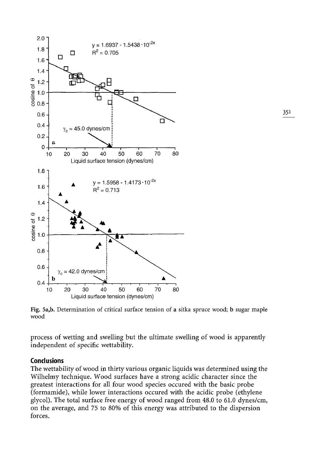

351

Fig. 5a,b. Determination of critical surface tension of a sitka spruce wood; b sugar maple wood

process of wetting and swelling but the ultimate swelling of wood is apparently independent of specific wettability.

## **Conclusions**

The wettability of wood in thirty various organic liquids was determined using the Wilhelmy technique. Wood surfaces have a strong acidic character since the greatest interactions for all four wood species occured with the basic probe (formamide), while lower interactions occured with the acidic probe (ethylene glycol). The total surface free energy of wood ranged from 48.0 to 61.0 dynes/cm, on the average, and 75 to 80% of this energy was attributed to the dispersion forces.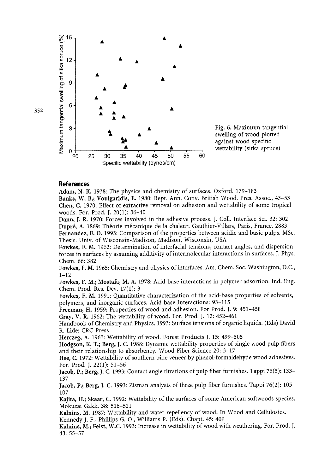

Fig. 6. Maximum tangential swelling of wood plotted against wood specific wettability (sitka spruce)

#### **References**

Adam, N. K. 1938: The physics and chemistry of surfaces. Oxford. 179-183 Banks, W. B.; Voulgaridis, E. 1980: Rept. Ann. Conv. British Wood. Pres. Assoc., 43-53 Chen, C. 1970: Effect of extractive removal on adhesion and wettability of some tropical woods. For. Prod. J. 20(1): 36-40

Dann, J. R. 1970: Forces involved in the adhesive process. J. Coll. Interface Sci. 32: 302 Dupré, A. 1869: Théorie mécanique de la chaleur. Gauthier-Villars, Paris, France. 2883 Fernandez, E. O. 1993: Comparison of the properties between acidic and basic pulps. MSc. Thesis. Univ. of Wisconsin-Madison, Madison, Wisconsin, USA

Fowkes, F. M. 1962: Determination of interfacial tensions, contact angles, and dispersion forces in surfaces by assuming additivity of intermolecular interactions in surfaces. J. Phys. Chem. 66: 382

Fowkes, F. M. 1965: Chemistry and physics of interfaces. Am. Chem. Soc. Washington, D.C.,  $1 - 12$ 

Fowkes, F. M.; Mostafa, M. A. 1978: Acid-base interactions in polymer adsortion. Ind. Eng. Chem. Prod. Res. Dev. 17(1): 3

Fowkes, F. M. 1991: Quantitative characterization of the acid-base properties of solvents, polymers, and inorganic surfaces. Acid-base Interactions: 93-115

Freeman, H. 1959: Properties of wood and adhesion. For Prod. J. 9: 451-458

Gray, V. R. 1962: The wettability of wood. For. Prod. J. 12: 452-461

Handbook of Chemistry and Physics. 1993: Surface tensions of organic liquids. (Eds) David R. Lide: CRC Press

Herczeg, A. 1965: Wettability of wood. Forest Products J. 15: 499-505

Hodgson, K. T.; Berg, J. C. 1988: Dynamic wettability properties of single wood pulp fibers and their relationship to absorbency. Wood Fiber Science 20: 3-17

Hse, C. 1972: Wettability of southern pine veneer by phenol-formaldehyde wood adhesives. For. Prod. J. 22(1): 51-56

Jacob, P.; Berg, J. C. 1993: Contact angle titrations of pulp fiber furnishes. Tappi 76(5): 133-137

Jacob, P.; Berg, J. C. 1993: Zisman analysis of three pulp fiber furnishes. Tappi 76(2): 105– 107

Kajita, H.; Skaar, C. 1992: Wettability of the surfaces of some American softwoods species. Mokuzai Gakk. 38: 516-521

Kalnins, M. 1987: Wettability and water repellency of wood. In Wood and Cellulosics. Kennedy J. F., Phillips G. O., Williams P. (Eds). Chapt. 45: 409

Kalnins, M.; Feist, W.C. 1993: Increase in wettability of wood with weathering. For. Prod. J.  $43:55 - 57$ 

352